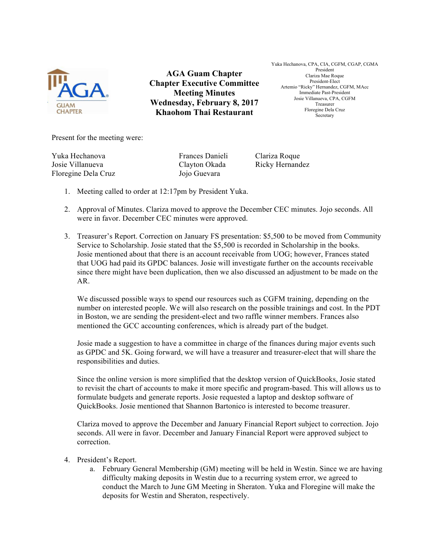

**AGA Guam Chapter Chapter Executive Committee Meeting Minutes Wednesday, February 8, 2017 Khaohom Thai Restaurant**

Yuka Hechanova, CPA, CIA, CGFM, CGAP, CGMA President Clariza Mae Roque President-Elect Artemio "Ricky" Hernandez, CGFM, MAcc Immediate Past-President Josie Villanueva, CPA, CGFM Treasurer Floregine Dela Cruz Secretary

Present for the meeting were:

Yuka Hechanova Frances Danieli Clariza Roque Josie Villanueva Clayton Okada Ricky Hernandez Floregine Dela Cruz Jojo Guevara

- 1. Meeting called to order at 12:17pm by President Yuka.
- 2. Approval of Minutes. Clariza moved to approve the December CEC minutes. Jojo seconds. All were in favor. December CEC minutes were approved.
- 3. Treasurer's Report. Correction on January FS presentation: \$5,500 to be moved from Community Service to Scholarship. Josie stated that the \$5,500 is recorded in Scholarship in the books. Josie mentioned about that there is an account receivable from UOG; however, Frances stated that UOG had paid its GPDC balances. Josie will investigate further on the accounts receivable since there might have been duplication, then we also discussed an adjustment to be made on the AR.

We discussed possible ways to spend our resources such as CGFM training, depending on the number on interested people. We will also research on the possible trainings and cost. In the PDT in Boston, we are sending the president-elect and two raffle winner members. Frances also mentioned the GCC accounting conferences, which is already part of the budget.

Josie made a suggestion to have a committee in charge of the finances during major events such as GPDC and 5K. Going forward, we will have a treasurer and treasurer-elect that will share the responsibilities and duties.

Since the online version is more simplified that the desktop version of QuickBooks, Josie stated to revisit the chart of accounts to make it more specific and program-based. This will allows us to formulate budgets and generate reports. Josie requested a laptop and desktop software of QuickBooks. Josie mentioned that Shannon Bartonico is interested to become treasurer.

Clariza moved to approve the December and January Financial Report subject to correction. Jojo seconds. All were in favor. December and January Financial Report were approved subject to correction.

## 4. President's Report.

a. February General Membership (GM) meeting will be held in Westin. Since we are having difficulty making deposits in Westin due to a recurring system error, we agreed to conduct the March to June GM Meeting in Sheraton. Yuka and Floregine will make the deposits for Westin and Sheraton, respectively.